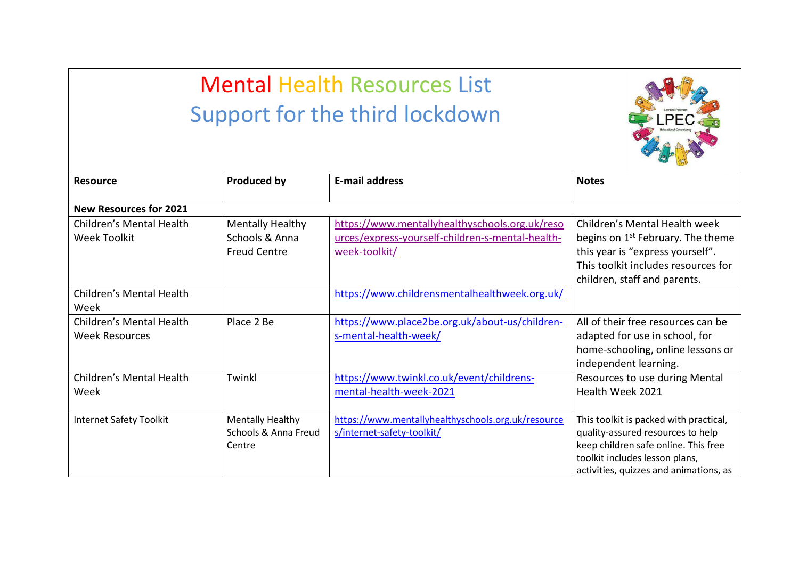## Mental Health Resources List Support for the third lockdown



| <b>Resource</b>                                   | <b>Produced by</b>                                               | <b>E-mail address</b>                                                                                               | <b>Notes</b>                                                                                                                                                                                    |  |  |  |
|---------------------------------------------------|------------------------------------------------------------------|---------------------------------------------------------------------------------------------------------------------|-------------------------------------------------------------------------------------------------------------------------------------------------------------------------------------------------|--|--|--|
| <b>New Resources for 2021</b>                     |                                                                  |                                                                                                                     |                                                                                                                                                                                                 |  |  |  |
| Children's Mental Health<br>Week Toolkit          | <b>Mentally Healthy</b><br>Schools & Anna<br><b>Freud Centre</b> | https://www.mentallyhealthyschools.org.uk/reso<br>urces/express-yourself-children-s-mental-health-<br>week-toolkit/ | Children's Mental Health week<br>begins on 1 <sup>st</sup> February. The theme<br>this year is "express yourself".<br>This toolkit includes resources for<br>children, staff and parents.       |  |  |  |
| Children's Mental Health<br>Week                  |                                                                  | https://www.childrensmentalhealthweek.org.uk/                                                                       |                                                                                                                                                                                                 |  |  |  |
| Children's Mental Health<br><b>Week Resources</b> | Place 2 Be                                                       | https://www.place2be.org.uk/about-us/children-<br>s-mental-health-week/                                             | All of their free resources can be<br>adapted for use in school, for<br>home-schooling, online lessons or<br>independent learning.                                                              |  |  |  |
| Children's Mental Health<br>Week                  | Twinkl                                                           | https://www.twinkl.co.uk/event/childrens-<br>mental-health-week-2021                                                | Resources to use during Mental<br>Health Week 2021                                                                                                                                              |  |  |  |
| <b>Internet Safety Toolkit</b>                    | <b>Mentally Healthy</b><br>Schools & Anna Freud<br>Centre        | https://www.mentallyhealthyschools.org.uk/resource<br>s/internet-safety-toolkit/                                    | This toolkit is packed with practical,<br>quality-assured resources to help<br>keep children safe online. This free<br>toolkit includes lesson plans,<br>activities, quizzes and animations, as |  |  |  |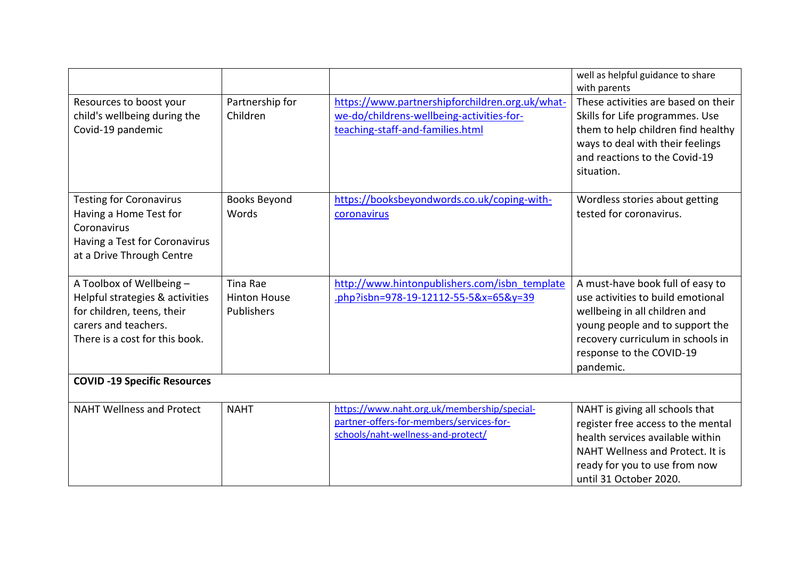|                                                                                                                                                     |                                                      |                                                                                                                                  | well as helpful guidance to share<br>with parents                                                                                                                                                                       |
|-----------------------------------------------------------------------------------------------------------------------------------------------------|------------------------------------------------------|----------------------------------------------------------------------------------------------------------------------------------|-------------------------------------------------------------------------------------------------------------------------------------------------------------------------------------------------------------------------|
| Resources to boost your<br>child's wellbeing during the<br>Covid-19 pandemic                                                                        | Partnership for<br>Children                          | https://www.partnershipforchildren.org.uk/what-<br>we-do/childrens-wellbeing-activities-for-<br>teaching-staff-and-families.html | These activities are based on their<br>Skills for Life programmes. Use<br>them to help children find healthy<br>ways to deal with their feelings<br>and reactions to the Covid-19<br>situation.                         |
| <b>Testing for Coronavirus</b><br>Having a Home Test for<br>Coronavirus<br>Having a Test for Coronavirus<br>at a Drive Through Centre               | <b>Books Beyond</b><br>Words                         | https://booksbeyondwords.co.uk/coping-with-<br>coronavirus                                                                       | Wordless stories about getting<br>tested for coronavirus.                                                                                                                                                               |
| A Toolbox of Wellbeing -<br>Helpful strategies & activities<br>for children, teens, their<br>carers and teachers.<br>There is a cost for this book. | Tina Rae<br><b>Hinton House</b><br><b>Publishers</b> | http://www.hintonpublishers.com/isbn_template<br>.php?isbn=978-19-12112-55-5&x=65&y=39                                           | A must-have book full of easy to<br>use activities to build emotional<br>wellbeing in all children and<br>young people and to support the<br>recovery curriculum in schools in<br>response to the COVID-19<br>pandemic. |
| <b>COVID -19 Specific Resources</b>                                                                                                                 |                                                      |                                                                                                                                  |                                                                                                                                                                                                                         |
| <b>NAHT Wellness and Protect</b>                                                                                                                    | <b>NAHT</b>                                          | https://www.naht.org.uk/membership/special-<br>partner-offers-for-members/services-for-<br>schools/naht-wellness-and-protect/    | NAHT is giving all schools that<br>register free access to the mental<br>health services available within<br>NAHT Wellness and Protect. It is<br>ready for you to use from now<br>until 31 October 2020.                |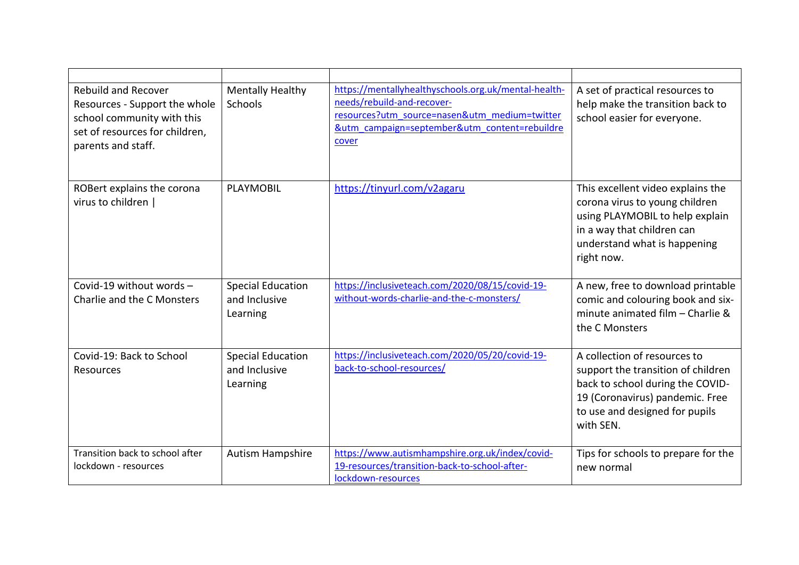| <b>Rebuild and Recover</b><br>Resources - Support the whole<br>school community with this<br>set of resources for children,<br>parents and staff. | <b>Mentally Healthy</b><br>Schools                    | https://mentallyhealthyschools.org.uk/mental-health-<br>needs/rebuild-and-recover-<br>resources?utm_source=nasen&utm_medium=twitter<br>&utm campaign=september&utm content=rebuildre<br>cover | A set of practical resources to<br>help make the transition back to<br>school easier for everyone.                                                                                       |
|---------------------------------------------------------------------------------------------------------------------------------------------------|-------------------------------------------------------|-----------------------------------------------------------------------------------------------------------------------------------------------------------------------------------------------|------------------------------------------------------------------------------------------------------------------------------------------------------------------------------------------|
| ROBert explains the corona<br>virus to children                                                                                                   | PLAYMOBIL                                             | https://tinyurl.com/v2agaru                                                                                                                                                                   | This excellent video explains the<br>corona virus to young children<br>using PLAYMOBIL to help explain<br>in a way that children can<br>understand what is happening<br>right now.       |
| Covid-19 without words -<br>Charlie and the C Monsters                                                                                            | <b>Special Education</b><br>and Inclusive<br>Learning | https://inclusiveteach.com/2020/08/15/covid-19-<br>without-words-charlie-and-the-c-monsters/                                                                                                  | A new, free to download printable<br>comic and colouring book and six-<br>minute animated film - Charlie &<br>the C Monsters                                                             |
| Covid-19: Back to School<br>Resources                                                                                                             | <b>Special Education</b><br>and Inclusive<br>Learning | https://inclusiveteach.com/2020/05/20/covid-19-<br>back-to-school-resources/                                                                                                                  | A collection of resources to<br>support the transition of children<br>back to school during the COVID-<br>19 (Coronavirus) pandemic. Free<br>to use and designed for pupils<br>with SEN. |
| Transition back to school after<br>lockdown - resources                                                                                           | Autism Hampshire                                      | https://www.autismhampshire.org.uk/index/covid-<br>19-resources/transition-back-to-school-after-<br>lockdown-resources                                                                        | Tips for schools to prepare for the<br>new normal                                                                                                                                        |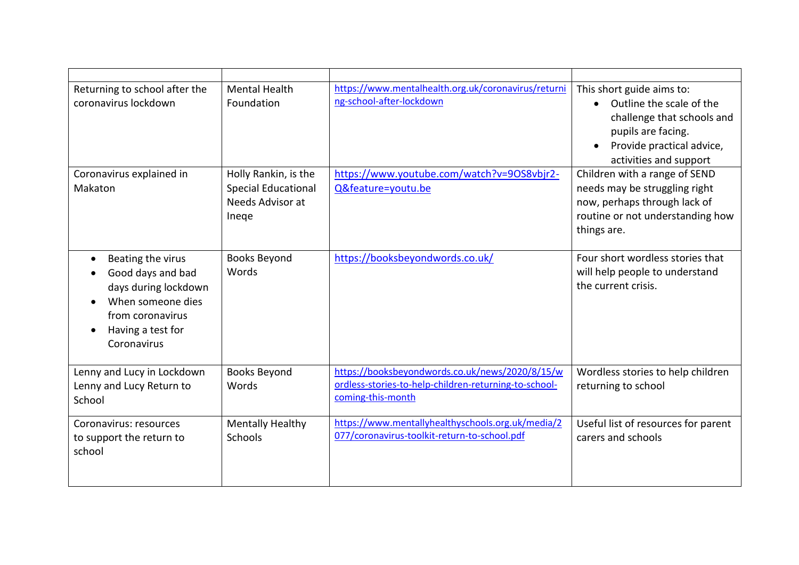| Returning to school after the<br>coronavirus lockdown                                                                                       | <b>Mental Health</b><br>Foundation                                              | https://www.mentalhealth.org.uk/coronavirus/returni<br>ng-school-after-lockdown                                               | This short guide aims to:<br>Outline the scale of the<br>$\bullet$<br>challenge that schools and<br>pupils are facing.<br>Provide practical advice,<br>activities and support |
|---------------------------------------------------------------------------------------------------------------------------------------------|---------------------------------------------------------------------------------|-------------------------------------------------------------------------------------------------------------------------------|-------------------------------------------------------------------------------------------------------------------------------------------------------------------------------|
| Coronavirus explained in<br>Makaton                                                                                                         | Holly Rankin, is the<br><b>Special Educational</b><br>Needs Advisor at<br>Inege | https://www.youtube.com/watch?v=90S8vbjr2-<br>Q&feature=youtu.be                                                              | Children with a range of SEND<br>needs may be struggling right<br>now, perhaps through lack of<br>routine or not understanding how<br>things are.                             |
| Beating the virus<br>Good days and bad<br>days during lockdown<br>When someone dies<br>from coronavirus<br>Having a test for<br>Coronavirus | <b>Books Beyond</b><br>Words                                                    | https://booksbeyondwords.co.uk/                                                                                               | Four short wordless stories that<br>will help people to understand<br>the current crisis.                                                                                     |
| Lenny and Lucy in Lockdown<br>Lenny and Lucy Return to<br>School                                                                            | <b>Books Beyond</b><br>Words                                                    | https://booksbeyondwords.co.uk/news/2020/8/15/w<br>ordless-stories-to-help-children-returning-to-school-<br>coming-this-month | Wordless stories to help children<br>returning to school                                                                                                                      |
| Coronavirus: resources<br>to support the return to<br>school                                                                                | <b>Mentally Healthy</b><br>Schools                                              | https://www.mentallyhealthyschools.org.uk/media/2<br>077/coronavirus-toolkit-return-to-school.pdf                             | Useful list of resources for parent<br>carers and schools                                                                                                                     |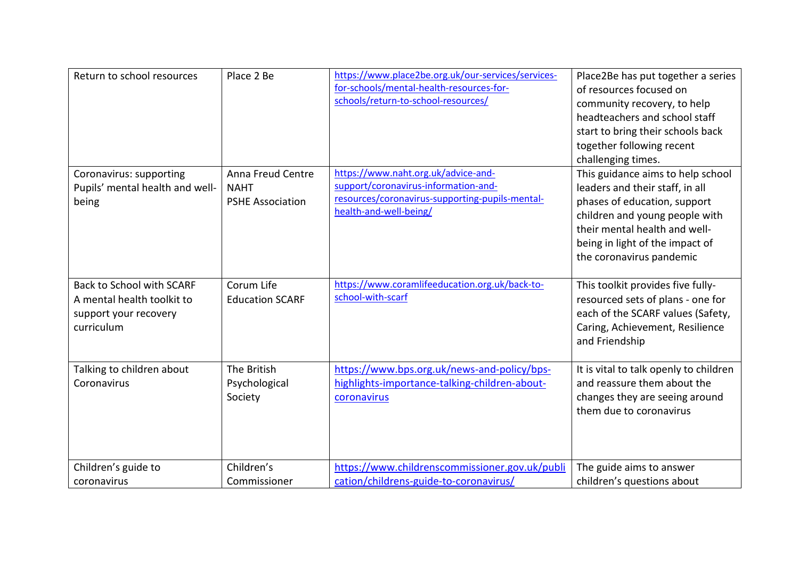| Return to school resources                                                                            | Place 2 Be                                                  | https://www.place2be.org.uk/our-services/services-<br>for-schools/mental-health-resources-for-<br>schools/return-to-school-resources/                    | Place2Be has put together a series<br>of resources focused on<br>community recovery, to help<br>headteachers and school staff<br>start to bring their schools back<br>together following recent<br>challenging times.                  |
|-------------------------------------------------------------------------------------------------------|-------------------------------------------------------------|----------------------------------------------------------------------------------------------------------------------------------------------------------|----------------------------------------------------------------------------------------------------------------------------------------------------------------------------------------------------------------------------------------|
| Coronavirus: supporting<br>Pupils' mental health and well-<br>being                                   | Anna Freud Centre<br><b>NAHT</b><br><b>PSHE Association</b> | https://www.naht.org.uk/advice-and-<br>support/coronavirus-information-and-<br>resources/coronavirus-supporting-pupils-mental-<br>health-and-well-being/ | This guidance aims to help school<br>leaders and their staff, in all<br>phases of education, support<br>children and young people with<br>their mental health and well-<br>being in light of the impact of<br>the coronavirus pandemic |
| <b>Back to School with SCARF</b><br>A mental health toolkit to<br>support your recovery<br>curriculum | Corum Life<br><b>Education SCARF</b>                        | https://www.coramlifeeducation.org.uk/back-to-<br>school-with-scarf                                                                                      | This toolkit provides five fully-<br>resourced sets of plans - one for<br>each of the SCARF values (Safety,<br>Caring, Achievement, Resilience<br>and Friendship                                                                       |
| Talking to children about<br>Coronavirus                                                              | The British<br>Psychological<br>Society                     | https://www.bps.org.uk/news-and-policy/bps-<br>highlights-importance-talking-children-about-<br>coronavirus                                              | It is vital to talk openly to children<br>and reassure them about the<br>changes they are seeing around<br>them due to coronavirus                                                                                                     |
| Children's guide to<br>coronavirus                                                                    | Children's<br>Commissioner                                  | https://www.childrenscommissioner.gov.uk/publi<br>cation/childrens-guide-to-coronavirus/                                                                 | The guide aims to answer<br>children's questions about                                                                                                                                                                                 |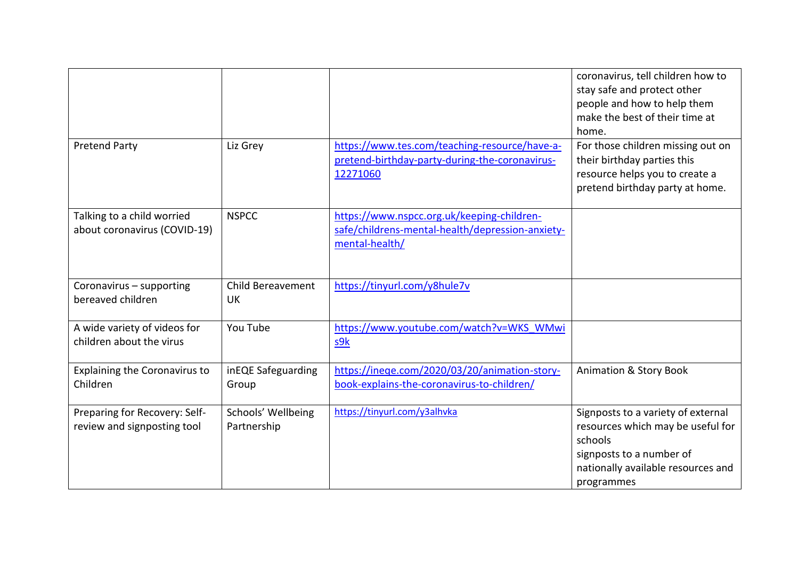|                                                              |                                   |                                                                                                                  | coronavirus, tell children how to<br>stay safe and protect other<br>people and how to help them<br>make the best of their time at<br>home.                         |
|--------------------------------------------------------------|-----------------------------------|------------------------------------------------------------------------------------------------------------------|--------------------------------------------------------------------------------------------------------------------------------------------------------------------|
| <b>Pretend Party</b>                                         | Liz Grey                          | https://www.tes.com/teaching-resource/have-a-<br>pretend-birthday-party-during-the-coronavirus-<br>12271060      | For those children missing out on<br>their birthday parties this<br>resource helps you to create a<br>pretend birthday party at home.                              |
| Talking to a child worried<br>about coronavirus (COVID-19)   | <b>NSPCC</b>                      | https://www.nspcc.org.uk/keeping-children-<br>safe/childrens-mental-health/depression-anxiety-<br>mental-health/ |                                                                                                                                                                    |
| Coronavirus - supporting<br>bereaved children                | <b>Child Bereavement</b><br>UK    | https://tinyurl.com/y8hule7v                                                                                     |                                                                                                                                                                    |
| A wide variety of videos for<br>children about the virus     | You Tube                          | https://www.youtube.com/watch?v=WKS_WMwi<br>s9k                                                                  |                                                                                                                                                                    |
| <b>Explaining the Coronavirus to</b><br>Children             | inEQE Safeguarding<br>Group       | https://ineqe.com/2020/03/20/animation-story-<br>book-explains-the-coronavirus-to-children/                      | <b>Animation &amp; Story Book</b>                                                                                                                                  |
| Preparing for Recovery: Self-<br>review and signposting tool | Schools' Wellbeing<br>Partnership | https://tinyurl.com/y3alhvka                                                                                     | Signposts to a variety of external<br>resources which may be useful for<br>schools<br>signposts to a number of<br>nationally available resources and<br>programmes |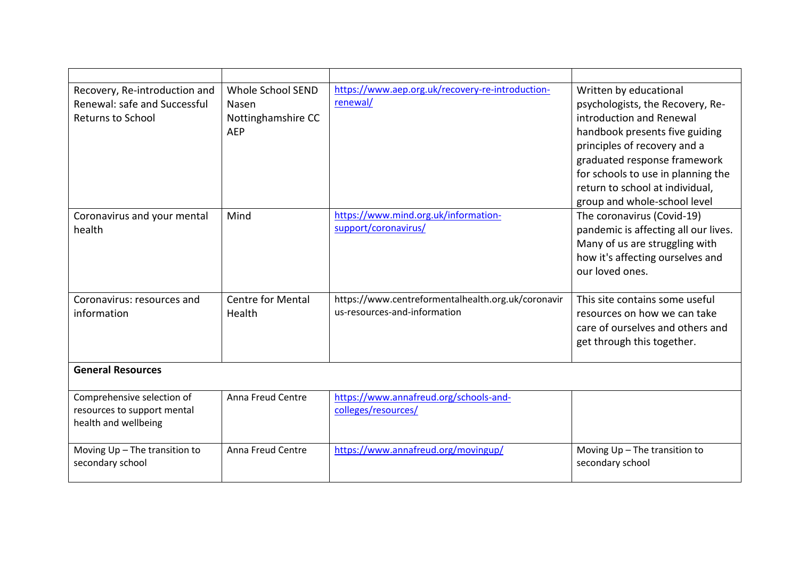| Recovery, Re-introduction and<br>Renewal: safe and Successful<br><b>Returns to School</b> | <b>Whole School SEND</b><br>Nasen<br>Nottinghamshire CC<br><b>AEP</b> | https://www.aep.org.uk/recovery-re-introduction-<br>renewal/                       | Written by educational<br>psychologists, the Recovery, Re-<br>introduction and Renewal<br>handbook presents five guiding<br>principles of recovery and a<br>graduated response framework<br>for schools to use in planning the<br>return to school at individual,<br>group and whole-school level |
|-------------------------------------------------------------------------------------------|-----------------------------------------------------------------------|------------------------------------------------------------------------------------|---------------------------------------------------------------------------------------------------------------------------------------------------------------------------------------------------------------------------------------------------------------------------------------------------|
| Coronavirus and your mental<br>health                                                     | Mind                                                                  | https://www.mind.org.uk/information-<br>support/coronavirus/                       | The coronavirus (Covid-19)<br>pandemic is affecting all our lives.<br>Many of us are struggling with<br>how it's affecting ourselves and<br>our loved ones.                                                                                                                                       |
| Coronavirus: resources and<br>information                                                 | <b>Centre for Mental</b><br>Health                                    | https://www.centreformentalhealth.org.uk/coronavir<br>us-resources-and-information | This site contains some useful<br>resources on how we can take<br>care of ourselves and others and<br>get through this together.                                                                                                                                                                  |
| <b>General Resources</b>                                                                  |                                                                       |                                                                                    |                                                                                                                                                                                                                                                                                                   |
| Comprehensive selection of<br>resources to support mental<br>health and wellbeing         | Anna Freud Centre                                                     | https://www.annafreud.org/schools-and-<br>colleges/resources/                      |                                                                                                                                                                                                                                                                                                   |
| Moving Up - The transition to<br>secondary school                                         | Anna Freud Centre                                                     | https://www.annafreud.org/movingup/                                                | Moving Up - The transition to<br>secondary school                                                                                                                                                                                                                                                 |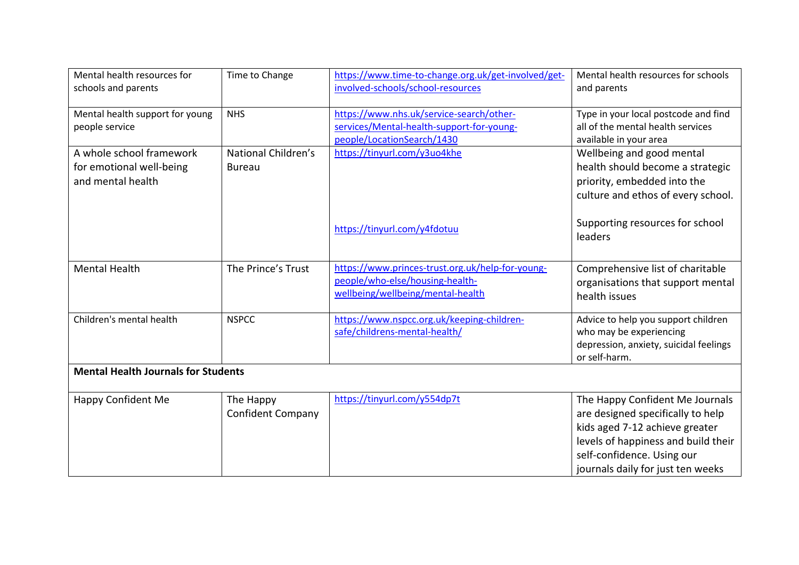| Mental health resources for<br>schools and parents                        | Time to Change                        | https://www.time-to-change.org.uk/get-involved/get-<br>involved-schools/school-resources                                 | Mental health resources for schools<br>and parents                                                                                                                                                               |  |  |
|---------------------------------------------------------------------------|---------------------------------------|--------------------------------------------------------------------------------------------------------------------------|------------------------------------------------------------------------------------------------------------------------------------------------------------------------------------------------------------------|--|--|
| Mental health support for young<br>people service                         | <b>NHS</b>                            | https://www.nhs.uk/service-search/other-<br>services/Mental-health-support-for-young-<br>people/LocationSearch/1430      | Type in your local postcode and find<br>all of the mental health services<br>available in your area                                                                                                              |  |  |
| A whole school framework<br>for emotional well-being<br>and mental health | National Children's<br><b>Bureau</b>  | https://tinyurl.com/y3uo4khe                                                                                             | Wellbeing and good mental<br>health should become a strategic<br>priority, embedded into the<br>culture and ethos of every school.                                                                               |  |  |
|                                                                           |                                       | https://tinyurl.com/y4fdotuu                                                                                             | Supporting resources for school<br>leaders                                                                                                                                                                       |  |  |
| <b>Mental Health</b>                                                      | The Prince's Trust                    | https://www.princes-trust.org.uk/help-for-young-<br>people/who-else/housing-health-<br>wellbeing/wellbeing/mental-health | Comprehensive list of charitable<br>organisations that support mental<br>health issues                                                                                                                           |  |  |
| Children's mental health                                                  | <b>NSPCC</b>                          | https://www.nspcc.org.uk/keeping-children-<br>safe/childrens-mental-health/                                              | Advice to help you support children<br>who may be experiencing<br>depression, anxiety, suicidal feelings<br>or self-harm.                                                                                        |  |  |
| <b>Mental Health Journals for Students</b>                                |                                       |                                                                                                                          |                                                                                                                                                                                                                  |  |  |
| Happy Confident Me                                                        | The Happy<br><b>Confident Company</b> | https://tinyurl.com/y554dp7t                                                                                             | The Happy Confident Me Journals<br>are designed specifically to help<br>kids aged 7-12 achieve greater<br>levels of happiness and build their<br>self-confidence. Using our<br>journals daily for just ten weeks |  |  |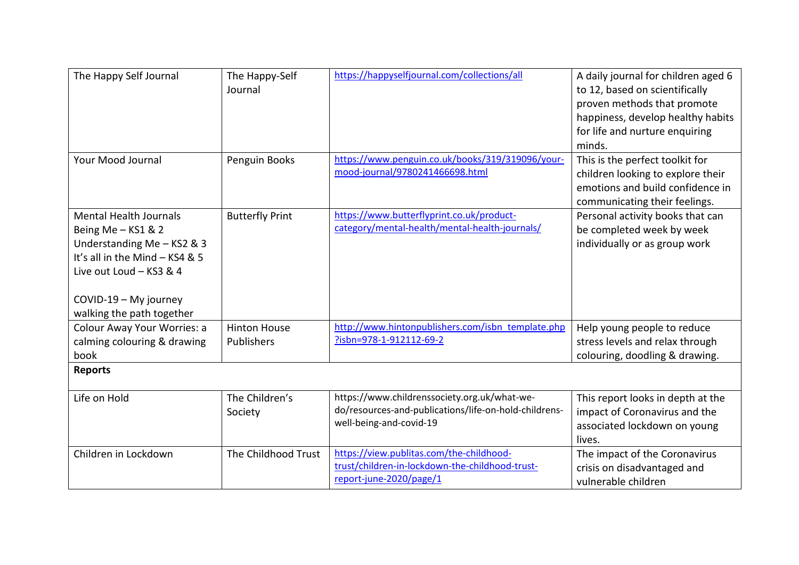| The Happy Self Journal                                                                                                                                                                               | The Happy-Self<br>Journal         | https://happyselfjournal.com/collections/all                                                                                     | A daily journal for children aged 6<br>to 12, based on scientifically<br>proven methods that promote<br>happiness, develop healthy habits<br>for life and nurture enquiring<br>minds. |
|------------------------------------------------------------------------------------------------------------------------------------------------------------------------------------------------------|-----------------------------------|----------------------------------------------------------------------------------------------------------------------------------|---------------------------------------------------------------------------------------------------------------------------------------------------------------------------------------|
| <b>Your Mood Journal</b>                                                                                                                                                                             | Penguin Books                     | https://www.penguin.co.uk/books/319/319096/your-<br>mood-journal/9780241466698.html                                              | This is the perfect toolkit for<br>children looking to explore their<br>emotions and build confidence in<br>communicating their feelings.                                             |
| <b>Mental Health Journals</b><br>Being Me - KS1 & 2<br>Understanding Me - KS2 & 3<br>It's all in the Mind - KS4 & 5<br>Live out Loud - KS3 & 4<br>COVID-19 - My journey<br>walking the path together | <b>Butterfly Print</b>            | https://www.butterflyprint.co.uk/product-<br>category/mental-health/mental-health-journals/                                      | Personal activity books that can<br>be completed week by week<br>individually or as group work                                                                                        |
| Colour Away Your Worries: a<br>calming colouring & drawing<br>book                                                                                                                                   | <b>Hinton House</b><br>Publishers | http://www.hintonpublishers.com/isbn_template.php<br>?isbn=978-1-912112-69-2                                                     | Help young people to reduce<br>stress levels and relax through<br>colouring, doodling & drawing.                                                                                      |
| <b>Reports</b>                                                                                                                                                                                       |                                   |                                                                                                                                  |                                                                                                                                                                                       |
| Life on Hold                                                                                                                                                                                         | The Children's<br>Society         | https://www.childrenssociety.org.uk/what-we-<br>do/resources-and-publications/life-on-hold-childrens-<br>well-being-and-covid-19 | This report looks in depth at the<br>impact of Coronavirus and the<br>associated lockdown on young<br>lives.                                                                          |
| Children in Lockdown                                                                                                                                                                                 | The Childhood Trust               | https://view.publitas.com/the-childhood-<br>trust/children-in-lockdown-the-childhood-trust-<br>report-june-2020/page/1           | The impact of the Coronavirus<br>crisis on disadvantaged and<br>vulnerable children                                                                                                   |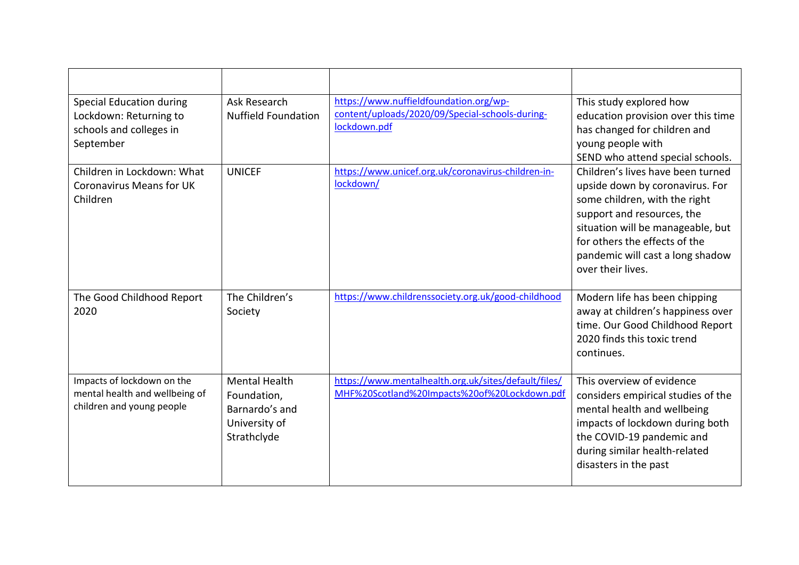| Special Education during<br>Lockdown: Returning to<br>schools and colleges in<br>September | Ask Research<br><b>Nuffield Foundation</b>                                            | https://www.nuffieldfoundation.org/wp-<br>content/uploads/2020/09/Special-schools-during-<br>lockdown.pdf | This study explored how<br>education provision over this time<br>has changed for children and<br>young people with<br>SEND who attend special schools.                                                                                                             |
|--------------------------------------------------------------------------------------------|---------------------------------------------------------------------------------------|-----------------------------------------------------------------------------------------------------------|--------------------------------------------------------------------------------------------------------------------------------------------------------------------------------------------------------------------------------------------------------------------|
| Children in Lockdown: What<br><b>Coronavirus Means for UK</b><br>Children                  | <b>UNICEF</b>                                                                         | https://www.unicef.org.uk/coronavirus-children-in-<br>lockdown/                                           | Children's lives have been turned<br>upside down by coronavirus. For<br>some children, with the right<br>support and resources, the<br>situation will be manageable, but<br>for others the effects of the<br>pandemic will cast a long shadow<br>over their lives. |
| The Good Childhood Report<br>2020                                                          | The Children's<br>Society                                                             | https://www.childrenssociety.org.uk/good-childhood                                                        | Modern life has been chipping<br>away at children's happiness over<br>time. Our Good Childhood Report<br>2020 finds this toxic trend<br>continues.                                                                                                                 |
| Impacts of lockdown on the<br>mental health and wellbeing of<br>children and young people  | <b>Mental Health</b><br>Foundation,<br>Barnardo's and<br>University of<br>Strathclyde | https://www.mentalhealth.org.uk/sites/default/files/<br>MHF%20Scotland%20Impacts%20of%20Lockdown.pdf      | This overview of evidence<br>considers empirical studies of the<br>mental health and wellbeing<br>impacts of lockdown during both<br>the COVID-19 pandemic and<br>during similar health-related<br>disasters in the past                                           |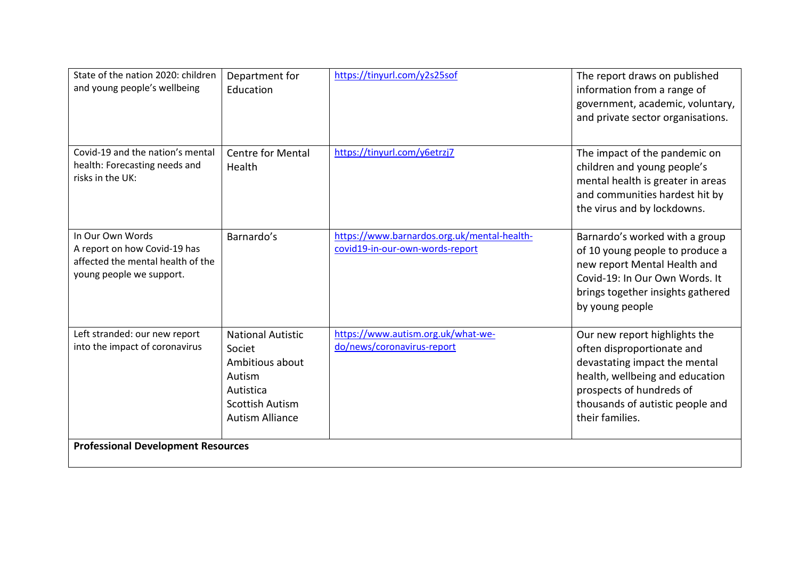| State of the nation 2020: children<br>and young people's wellbeing                                                | Department for<br>Education                                                                                                      | https://tinyurl.com/y2s25sof                                                   | The report draws on published<br>information from a range of<br>government, academic, voluntary,<br>and private sector organisations.                                                                              |
|-------------------------------------------------------------------------------------------------------------------|----------------------------------------------------------------------------------------------------------------------------------|--------------------------------------------------------------------------------|--------------------------------------------------------------------------------------------------------------------------------------------------------------------------------------------------------------------|
| Covid-19 and the nation's mental<br>health: Forecasting needs and<br>risks in the UK:                             | <b>Centre for Mental</b><br>Health                                                                                               | https://tinyurl.com/y6etrzj7                                                   | The impact of the pandemic on<br>children and young people's<br>mental health is greater in areas<br>and communities hardest hit by<br>the virus and by lockdowns.                                                 |
| In Our Own Words<br>A report on how Covid-19 has<br>affected the mental health of the<br>young people we support. | Barnardo's                                                                                                                       | https://www.barnardos.org.uk/mental-health-<br>covid19-in-our-own-words-report | Barnardo's worked with a group<br>of 10 young people to produce a<br>new report Mental Health and<br>Covid-19: In Our Own Words. It<br>brings together insights gathered<br>by young people                        |
| Left stranded: our new report<br>into the impact of coronavirus                                                   | <b>National Autistic</b><br>Societ<br>Ambitious about<br>Autism<br>Autistica<br><b>Scottish Autism</b><br><b>Autism Alliance</b> | https://www.autism.org.uk/what-we-<br>do/news/coronavirus-report               | Our new report highlights the<br>often disproportionate and<br>devastating impact the mental<br>health, wellbeing and education<br>prospects of hundreds of<br>thousands of autistic people and<br>their families. |
| <b>Professional Development Resources</b>                                                                         |                                                                                                                                  |                                                                                |                                                                                                                                                                                                                    |